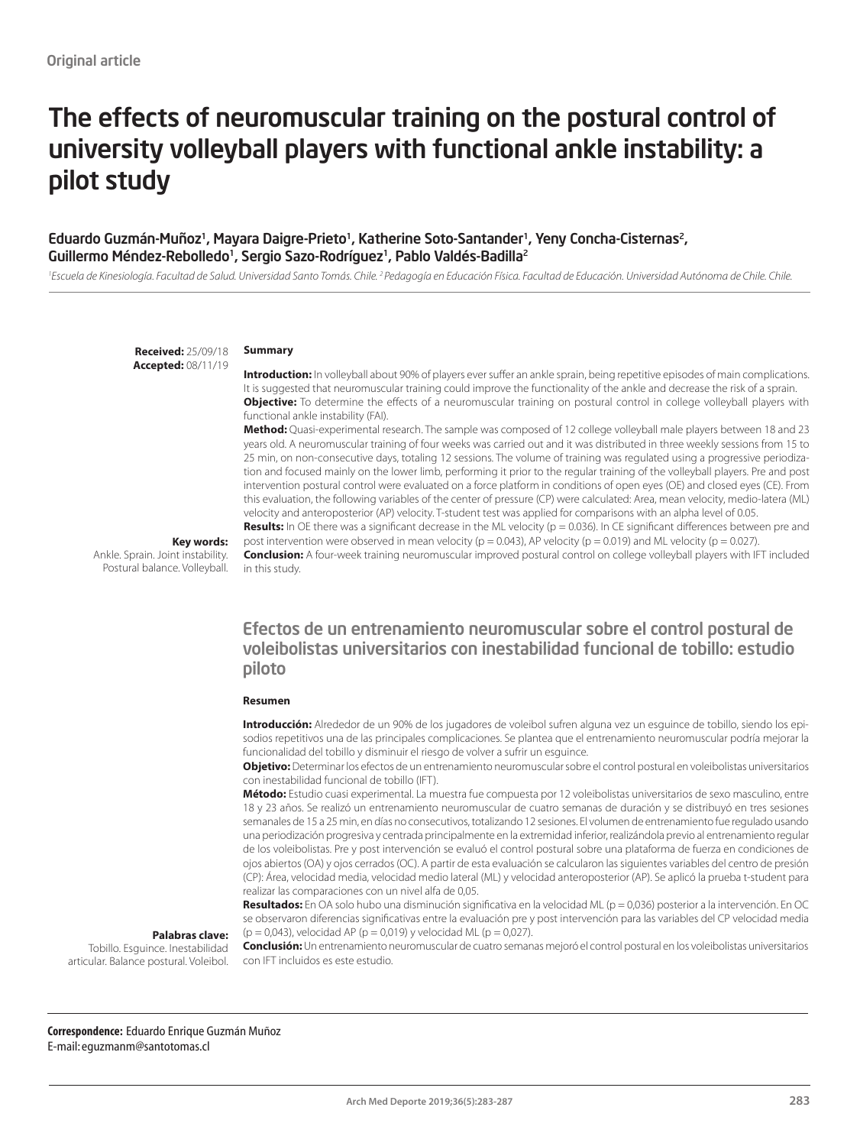# The effects of neuromuscular training on the postural control of university volleyball players with functional ankle instability: a pilot study

#### Eduardo Guzmán-Muñoz<sup>1</sup>, Mayara Daigre-Prieto<sup>1</sup>, Katherine Soto-Santander<sup>1</sup>, Yeny Concha-Cisternas<sup>2</sup>, Guillermo Méndez-Rebolledo<sup>1</sup>, Sergio Sazo-Rodríguez<sup>1</sup>, Pablo Valdés-Badilla<sup>2</sup>

<sup>1</sup> Escuela de Kinesiología. Facultad de Salud. Universidad Santo Tomás. Chile. <sup>2</sup> Pedagogía en Educación Física. Facultad de Educación. Universidad Autónoma de Chile. Chile.

**Received:** 25/09/18 **Accepted:** 08/11/19

#### **Summary**

**Introduction:** In volleyball about 90% of players ever suffer an ankle sprain, being repetitive episodes of main complications. It is suggested that neuromuscular training could improve the functionality of the ankle and decrease the risk of a sprain. **Objective:** To determine the effects of a neuromuscular training on postural control in college volleyball players with functional ankle instability (FAI).

**Method:** Quasi-experimental research. The sample was composed of 12 college volleyball male players between 18 and 23 years old. A neuromuscular training of four weeks was carried out and it was distributed in three weekly sessions from 15 to 25 min, on non-consecutive days, totaling 12 sessions. The volume of training was regulated using a progressive periodization and focused mainly on the lower limb, performing it prior to the regular training of the volleyball players. Pre and post intervention postural control were evaluated on a force platform in conditions of open eyes (OE) and closed eyes (CE). From this evaluation, the following variables of the center of pressure (CP) were calculated: Area, mean velocity, medio-latera (ML) velocity and anteroposterior (AP) velocity. T-student test was applied for comparisons with an alpha level of 0.05. Results: In OE there was a significant decrease in the ML velocity (p = 0.036). In CE significant differences between pre and

#### **Key words:**

Ankle. Sprain. Joint instability. Postural balance. Volleyball.

post intervention were observed in mean velocity ( $p = 0.043$ ), AP velocity ( $p = 0.019$ ) and ML velocity ( $p = 0.027$ ). **Conclusion:** A four-week training neuromuscular improved postural control on college volleyball players with IFT included in this study.

### Efectos de un entrenamiento neuromuscular sobre el control postural de voleibolistas universitarios con inestabilidad funcional de tobillo: estudio piloto

#### **Resumen**

**Introducción:** Alrededor de un 90% de los jugadores de voleibol sufren alguna vez un esguince de tobillo, siendo los episodios repetitivos una de las principales complicaciones. Se plantea que el entrenamiento neuromuscular podría mejorar la funcionalidad del tobillo y disminuir el riesgo de volver a sufrir un esguince.

**Objetivo:** Determinar los efectos de un entrenamiento neuromuscular sobre el control postural en voleibolistas universitarios con inestabilidad funcional de tobillo (IFT).

**Método:** Estudio cuasi experimental. La muestra fue compuesta por 12 voleibolistas universitarios de sexo masculino, entre 18 y 23 años. Se realizó un entrenamiento neuromuscular de cuatro semanas de duración y se distribuyó en tres sesiones semanales de 15 a 25 min, en días no consecutivos, totalizando 12 sesiones. El volumen de entrenamiento fue regulado usando una periodización progresiva y centrada principalmente en la extremidad inferior, realizándola previo al entrenamiento regular de los voleibolistas. Pre y post intervención se evaluó el control postural sobre una plataforma de fuerza en condiciones de ojos abiertos (OA) y ojos cerrados (OC). A partir de esta evaluación se calcularon las siguientes variables del centro de presión (CP): Área, velocidad media, velocidad medio lateral (ML) y velocidad anteroposterior (AP). Se aplicó la prueba t-student para realizar las comparaciones con un nivel alfa de 0,05.

**Resultados:** En OA solo hubo una disminución significativa en la velocidad ML (p = 0,036) posterior a la intervención. En OC se observaron diferencias significativas entre la evaluación pre y post intervención para las variables del CP velocidad media  $(p = 0.043)$ , velocidad AP  $(p = 0.019)$  y velocidad ML  $(p = 0.027)$ .

### **Palabras clave:**

Tobillo. Esguince. Inestabilidad articular. Balance postural. Voleibol.

**Conclusión:** Un entrenamiento neuromuscular de cuatro semanas mejoró el control postural en los voleibolistas universitarios con IFT incluidos es este estudio.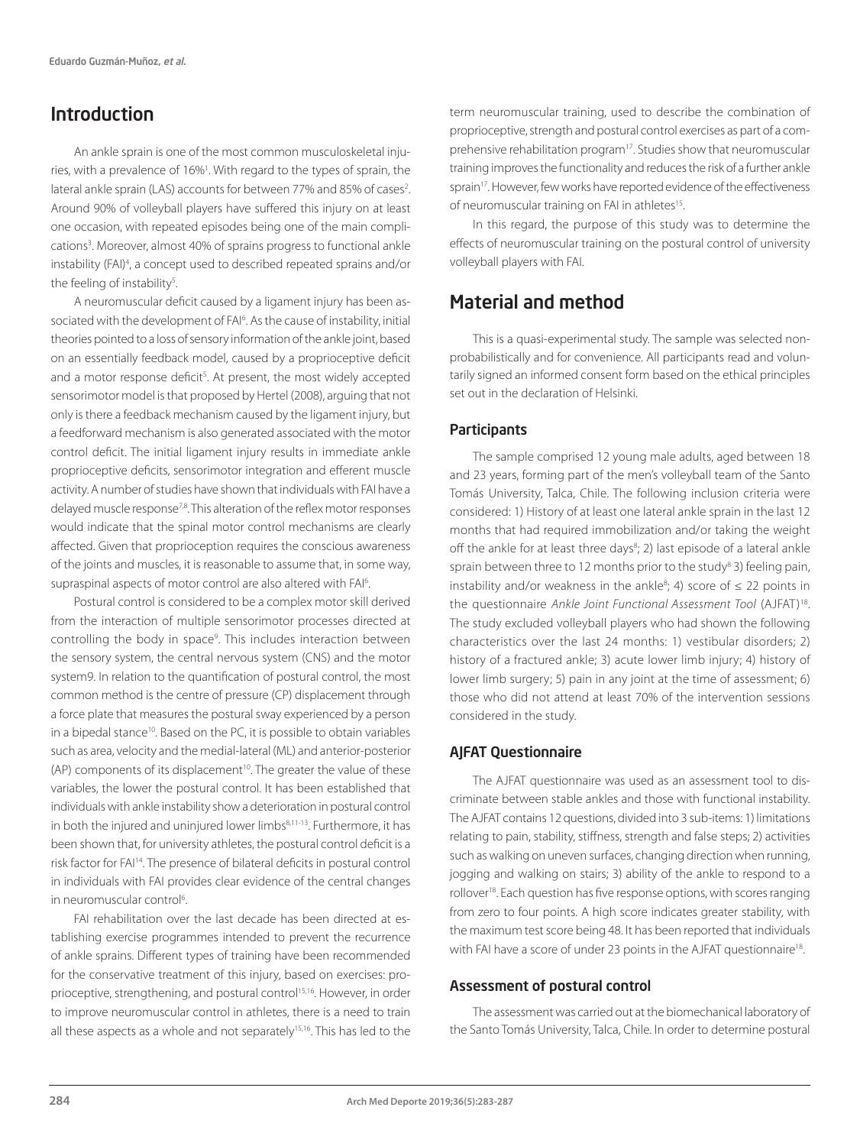# Introduction

An ankle sprain is one of the most common musculoskeletal injuries, with a prevalence of 16%<sup>1</sup>. With regard to the types of sprain, the lateral ankle sprain (LAS) accounts for between 77% and 85% of cases<sup>2</sup>. Around 90% of volleyball players have suffered this injury on at least one occasion, with repeated episodes being one of the main complications<sup>3</sup>. Moreover, almost 40% of sprains progress to functional ankle instability (FAI)4 , a concept used to described repeated sprains and/or the feeling of instability<sup>5</sup>. .

A neuromuscular deficit caused by a ligament injury has been associated with the development of FAI6 . As the cause of instability, initial theories pointed to a loss of sensory information of the ankle joint, based on an essentially feedback model, caused by a proprioceptive deficit and a motor response deficit<sup>5</sup>. At present, the most widely accepted sensorimotor model is that proposed by Hertel (2008), arguing that not only is there a feedback mechanism caused by the ligament injury, but a feedforward mechanism is also generated associated with the motor control deficit. The initial ligament injury results in immediate ankle proprioceptive deficits, sensorimotor integration and efferent muscle activity. A number of studies have shown that individuals with FAI have a delayed muscle response7,8. This alteration of the reflex motor responses would indicate that the spinal motor control mechanisms are clearly affected. Given that proprioception requires the conscious awareness of the joints and muscles, it is reasonable to assume that, in some way, supraspinal aspects of motor control are also altered with FAI<sup>6</sup>. .

Postural control is considered to be a complex motor skill derived from the interaction of multiple sensorimotor processes directed at controlling the body in space<sup>9</sup>. This includes interaction between the sensory system, the central nervous system (CNS) and the motor system9. In relation to the quantification of postural control, the most common method is the centre of pressure (CP) displacement through a force plate that measures the postural sway experienced by a person in a bipedal stance<sup>10</sup>. Based on the PC, it is possible to obtain variables such as area, velocity and the medial-lateral (ML) and anterior-posterior  $(AP)$  components of its displacement<sup>10</sup>. The greater the value of these variables, the lower the postural control. It has been established that individuals with ankle instability show a deterioration in postural control in both the injured and uninjured lower limbs<sup>8,11-13</sup>. Furthermore, it has been shown that, for university athletes, the postural control deficit is a risk factor for FAI14. The presence of bilateral deficits in postural control in individuals with FAI provides clear evidence of the central changes in neuromuscular control<sup>6</sup>. .

FAI rehabilitation over the last decade has been directed at establishing exercise programmes intended to prevent the recurrence of ankle sprains. Different types of training have been recommended for the conservative treatment of this injury, based on exercises: proprioceptive, strengthening, and postural control<sup>15,16</sup>. However, in order to improve neuromuscular control in athletes, there is a need to train all these aspects as a whole and not separately<sup>15,16</sup>. This has led to the term neuromuscular training, used to describe the combination of proprioceptive, strength and postural control exercises as part of a comprehensive rehabilitation program17. Studies show that neuromuscular training improves the functionality and reduces the risk of a further ankle sprain<sup>17</sup>. However, few works have reported evidence of the effectiveness of neuromuscular training on FAI in athletes<sup>15</sup>.

In this regard, the purpose of this study was to determine the effects of neuromuscular training on the postural control of university volleyball players with FAI.

# Material and method

This is a quasi-experimental study. The sample was selected nonprobabilistically and for convenience. All participants read and voluntarily signed an informed consent form based on the ethical principles set out in the declaration of Helsinki.

#### Participants

The sample comprised 12 young male adults, aged between 18 and 23 years, forming part of the men's volleyball team of the Santo Tomás University, Talca, Chile. The following inclusion criteria were considered: 1) History of at least one lateral ankle sprain in the last 12 months that had required immobilization and/or taking the weight off the ankle for at least three days<sup>8</sup>; 2) last episode of a lateral ankle sprain between three to 12 months prior to the study<sup>8</sup> 3) feeling pain, instability and/or weakness in the ankle<sup>8</sup>; 4) score of  $\leq$  22 points in the questionnaire *Ankle Joint Functional Assessment Tool* (AJFAT)18. The study excluded volleyball players who had shown the following characteristics over the last 24 months: 1) vestibular disorders; 2) history of a fractured ankle; 3) acute lower limb injury; 4) history of lower limb surgery; 5) pain in any joint at the time of assessment; 6) those who did not attend at least 70% of the intervention sessions considered in the study.

#### AJFAT Questionnaire

The AJFAT questionnaire was used as an assessment tool to discriminate between stable ankles and those with functional instability. The AJFAT contains 12 questions, divided into 3 sub-items: 1) limitations relating to pain, stability, stiffness, strength and false steps; 2) activities such as walking on uneven surfaces, changing direction when running, jogging and walking on stairs; 3) ability of the ankle to respond to a rollover<sup>18</sup>. Each question has five response options, with scores ranging from zero to four points. A high score indicates greater stability, with the maximum test score being 48. It has been reported that individuals with FAI have a score of under 23 points in the AJFAT questionnaire<sup>18</sup>.

#### Assessment of postural control

The assessment was carried out at the biomechanical laboratory of the Santo Tomás University, Talca, Chile. In order to determine postural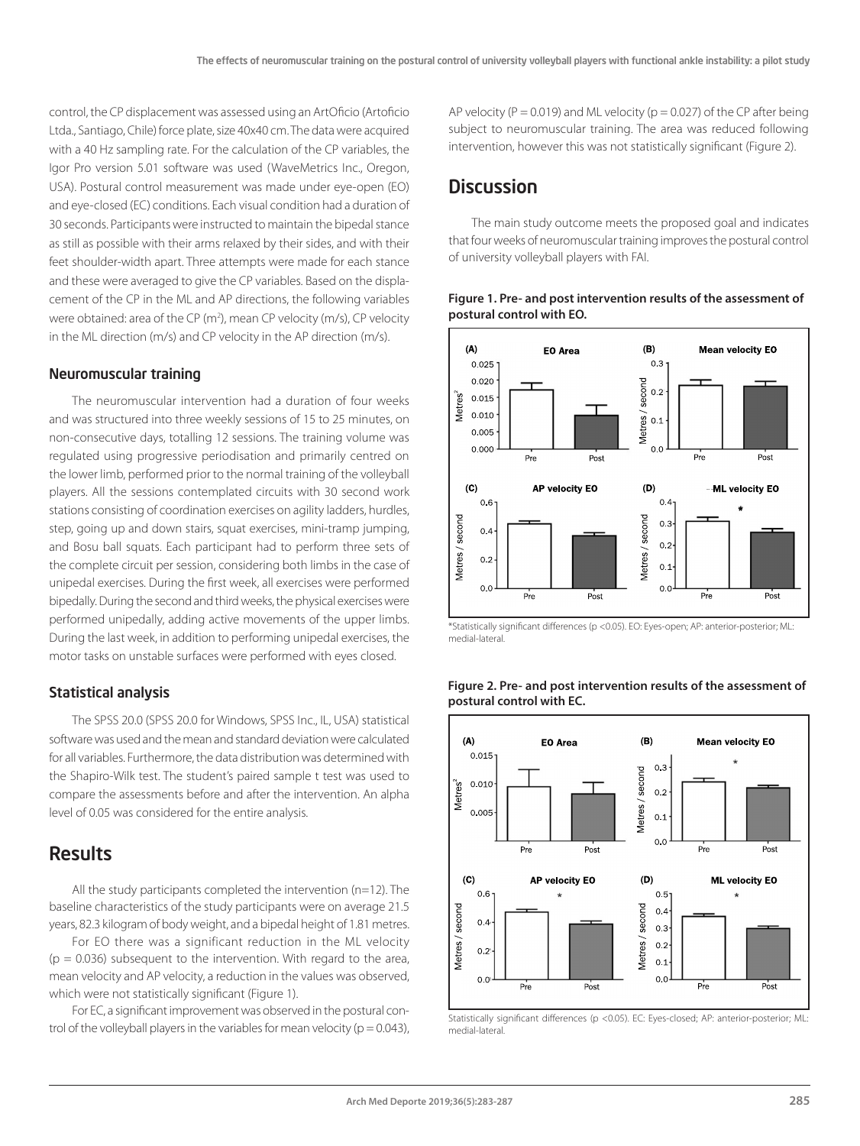control, the CP displacement was assessed using an ArtOficio (Artoficio Ltda., Santiago, Chile) force plate, size 40x40 cm. The data were acquired with a 40 Hz sampling rate. For the calculation of the CP variables, the Igor Pro version 5.01 software was used (WaveMetrics Inc., Oregon, USA). Postural control measurement was made under eye-open (EO) and eye-closed (EC) conditions. Each visual condition had a duration of 30 seconds. Participants were instructed to maintain the bipedal stance as still as possible with their arms relaxed by their sides, and with their feet shoulder-width apart. Three attempts were made for each stance and these were averaged to give the CP variables. Based on the displacement of the CP in the ML and AP directions, the following variables were obtained: area of the CP (m<sup>2</sup>), mean CP velocity (m/s), CP velocity in the ML direction (m/s) and CP velocity in the AP direction (m/s).

#### Neuromuscular training

The neuromuscular intervention had a duration of four weeks and was structured into three weekly sessions of 15 to 25 minutes, on non-consecutive days, totalling 12 sessions. The training volume was regulated using progressive periodisation and primarily centred on the lower limb, performed prior to the normal training of the volleyball players. All the sessions contemplated circuits with 30 second work stations consisting of coordination exercises on agility ladders, hurdles, step, going up and down stairs, squat exercises, mini-tramp jumping, and Bosu ball squats. Each participant had to perform three sets of the complete circuit per session, considering both limbs in the case of unipedal exercises. During the first week, all exercises were performed bipedally. During the second and third weeks, the physical exercises were performed unipedally, adding active movements of the upper limbs. During the last week, in addition to performing unipedal exercises, the motor tasks on unstable surfaces were performed with eyes closed.

#### Statistical analysis

The SPSS 20.0 (SPSS 20.0 for Windows, SPSS Inc., IL, USA) statistical software was used and the mean and standard deviation were calculated for all variables. Furthermore, the data distribution was determined with the Shapiro-Wilk test. The student's paired sample t test was used to compare the assessments before and after the intervention. An alpha level of 0.05 was considered for the entire analysis.

### **Results**

All the study participants completed the intervention (n=12). The baseline characteristics of the study participants were on average 21.5 years, 82.3 kilogram of body weight, and a bipedal height of 1.81 metres.

For EO there was a significant reduction in the ML velocity  $(p = 0.036)$  subsequent to the intervention. With regard to the area, mean velocity and AP velocity, a reduction in the values was observed, which were not statistically significant (Figure 1).

For EC, a significant improvement was observed in the postural control of the volleyball players in the variables for mean velocity ( $p = 0.043$ ), AP velocity ( $P = 0.019$ ) and ML velocity ( $p = 0.027$ ) of the CP after being subject to neuromuscular training. The area was reduced following intervention, however this was not statistically significant (Figure 2).

## **Discussion**

The main study outcome meets the proposed goal and indicates that four weeks of neuromuscular training improves the postural control of university volleyball players with FAI.





\*Statistically significant differences (p <0.05). EO: Eyes-open; AP: anterior-posterior; ML: medial-lateral.



**Figure 2. Pre- and post intervention results of the assessment of postural control with EC.**

Statistically significant differences (p <0.05). EC: Eyes-closed; AP: anterior-posterior; ML: medial-lateral.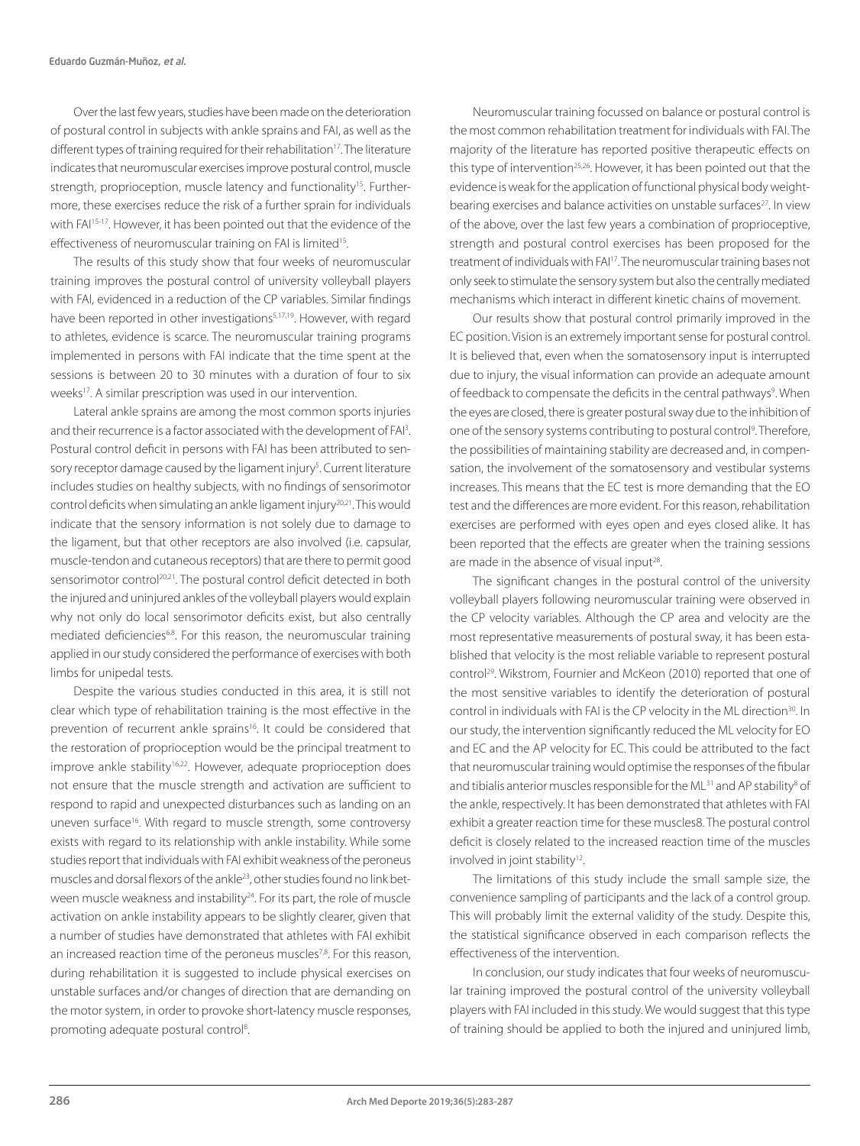Over the last few years, studies have been made on the deterioration of postural control in subjects with ankle sprains and FAI, as well as the different types of training required for their rehabilitation<sup>17</sup>. The literature indicates that neuromuscular exercises improve postural control, muscle strength, proprioception, muscle latency and functionality<sup>15</sup>. Furthermore, these exercises reduce the risk of a further sprain for individuals with FAI<sup>15-17</sup>. However, it has been pointed out that the evidence of the effectiveness of neuromuscular training on FAI is limited<sup>15</sup>.

The results of this study show that four weeks of neuromuscular training improves the postural control of university volleyball players with FAI, evidenced in a reduction of the CP variables. Similar findings have been reported in other investigations<sup>5,17,19</sup>. However, with regard to athletes, evidence is scarce. The neuromuscular training programs implemented in persons with FAI indicate that the time spent at the sessions is between 20 to 30 minutes with a duration of four to six weeks<sup>17</sup>. A similar prescription was used in our intervention.

Lateral ankle sprains are among the most common sports injuries and their recurrence is a factor associated with the development of FAI<sup>3</sup>. Postural control deficit in persons with FAI has been attributed to sensory receptor damage caused by the ligament injury<sup>5</sup>. Current literature includes studies on healthy subjects, with no findings of sensorimotor control deficits when simulating an ankle ligament injury<sup>20,21</sup>. This would indicate that the sensory information is not solely due to damage to the ligament, but that other receptors are also involved (i.e. capsular, muscle-tendon and cutaneous receptors) that are there to permit good sensorimotor control<sup>20,21</sup>. The postural control deficit detected in both the injured and uninjured ankles of the volleyball players would explain why not only do local sensorimotor deficits exist, but also centrally mediated deficiencies<sup>6,8</sup>. For this reason, the neuromuscular training applied in our study considered the performance of exercises with both limbs for unipedal tests.

Despite the various studies conducted in this area, it is still not clear which type of rehabilitation training is the most effective in the prevention of recurrent ankle sprains<sup>16</sup>. It could be considered that the restoration of proprioception would be the principal treatment to improve ankle stability<sup>16,22</sup>. However, adequate proprioception does not ensure that the muscle strength and activation are sufficient to respond to rapid and unexpected disturbances such as landing on an uneven surface<sup>16</sup>. With regard to muscle strength, some controversy exists with regard to its relationship with ankle instability. While some studies report that individuals with FAI exhibit weakness of the peroneus muscles and dorsal flexors of the ankle23, other studies found no link between muscle weakness and instability<sup>24</sup>. For its part, the role of muscle activation on ankle instability appears to be slightly clearer, given that a number of studies have demonstrated that athletes with FAI exhibit an increased reaction time of the peroneus muscles<sup>7,8</sup>. For this reason, during rehabilitation it is suggested to include physical exercises on unstable surfaces and/or changes of direction that are demanding on the motor system, in order to provoke short-latency muscle responses, promoting adequate postural control<sup>8</sup>.

Neuromuscular training focussed on balance or postural control is the most common rehabilitation treatment for individuals with FAI. The majority of the literature has reported positive therapeutic effects on this type of intervention<sup>25,26</sup>. However, it has been pointed out that the evidence is weak for the application of functional physical body weightbearing exercises and balance activities on unstable surfaces<sup>27</sup>. In view of the above, over the last few years a combination of proprioceptive, strength and postural control exercises has been proposed for the treatment of individuals with FAI17. The neuromuscular training bases not only seek to stimulate the sensory system but also the centrally mediated mechanisms which interact in different kinetic chains of movement.

Our results show that postural control primarily improved in the EC position. Vision is an extremely important sense for postural control. It is believed that, even when the somatosensory input is interrupted due to injury, the visual information can provide an adequate amount of feedback to compensate the deficits in the central pathways<sup>9</sup>. When the eyes are closed, there is greater postural sway due to the inhibition of one of the sensory systems contributing to postural control<sup>9</sup>. Therefore, the possibilities of maintaining stability are decreased and, in compensation, the involvement of the somatosensory and vestibular systems increases. This means that the EC test is more demanding that the EO test and the differences are more evident. For this reason, rehabilitation exercises are performed with eyes open and eyes closed alike. It has been reported that the effects are greater when the training sessions are made in the absence of visual input<sup>28</sup>.

The significant changes in the postural control of the university volleyball players following neuromuscular training were observed in the CP velocity variables. Although the CP area and velocity are the most representative measurements of postural sway, it has been established that velocity is the most reliable variable to represent postural control<sup>29</sup>. Wikstrom, Fournier and McKeon (2010) reported that one of the most sensitive variables to identify the deterioration of postural control in individuals with FAI is the CP velocity in the ML direction<sup>30</sup>. In our study, the intervention significantly reduced the ML velocity for EO and EC and the AP velocity for EC. This could be attributed to the fact that neuromuscular training would optimise the responses of the fibular and tibialis anterior muscles responsible for the ML<sup>31</sup> and AP stability<sup>8</sup> of the ankle, respectively. It has been demonstrated that athletes with FAI exhibit a greater reaction time for these muscles8. The postural control deficit is closely related to the increased reaction time of the muscles involved in joint stability<sup>12</sup>.

The limitations of this study include the small sample size, the convenience sampling of participants and the lack of a control group. This will probably limit the external validity of the study. Despite this, the statistical significance observed in each comparison reflects the effectiveness of the intervention.

In conclusion, our study indicates that four weeks of neuromuscular training improved the postural control of the university volleyball players with FAI included in this study. We would suggest that this type of training should be applied to both the injured and uninjured limb,